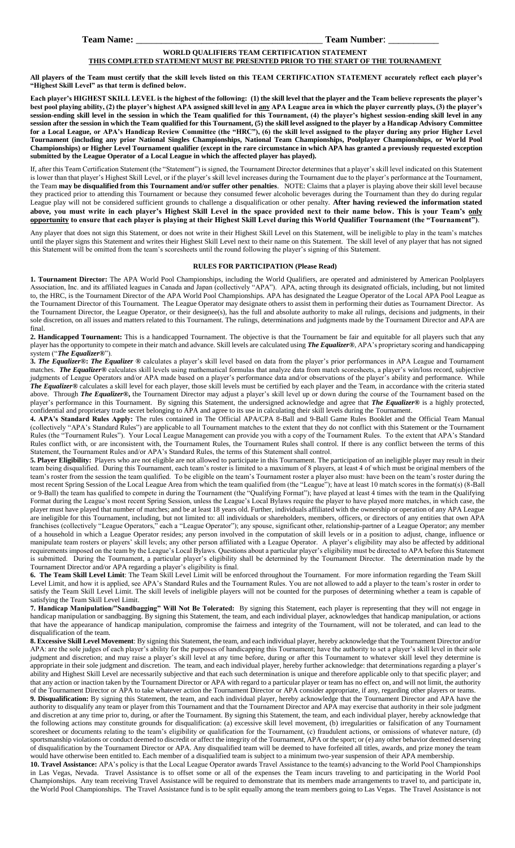## **Team Name:** \_\_\_\_\_\_\_\_\_\_\_\_\_\_\_\_\_\_\_\_\_\_\_\_\_\_\_\_\_\_\_\_\_\_\_\_\_ **Team Number**: \_\_\_\_\_\_\_\_\_\_

## **WORLD QUALIFIERS TEAM CERTIFICATION STATEMENT**

## **THIS COMPLETED STATEMENT MUST BE PRESENTED PRIOR TO THE START OF THE TOURNAMENT**

**All players of the Team must certify that the skill levels listed on this TEAM CERTIFICATION STATEMENT accurately reflect each player's "Highest Skill Level" as that term is defined below.**

**Each player's HIGHEST SKILL LEVEL is the highest of the following: (1) the skill level that the player and the Team believe represents the player's best pool playing ability, (2) the player's highest APA assigned skill level in any APA League area in which the player currently plays, (3) the player's session-ending skill level in the session in which the Team qualified for this Tournament, (4) the player's highest session-ending skill level in any session after the session in which the Team qualified for this Tournament, (5) the skill level assigned to the player by a Handicap Advisory Committee for a Local League, or APA's Handicap Review Committee (the "HRC"), (6) the skill level assigned to the player during any prior Higher Level Tournament (including any prior National Singles Championships, National Team Championships, Poolplayer Championships, or World Pool Championships) or Higher Level Tournament qualifier (except in the rare circumstance in which APA has granted a previously requested exception submitted by the League Operator of a Local League in which the affected player has played).** 

If, after this Team Certification Statement (the "Statement") is signed, the Tournament Director determines that a player's skill level indicated on this Statement is lower than that player's Highest Skill Level, or if the player's skill level increases during the Tournament due to the player's performance at the Tournament, the Team **may be disqualified from this Tournament and/or suffer other penalties**. NOTE: Claims that a player is playing above their skill level because they practiced prior to attending this Tournament or because they consumed fewer alcoholic beverages during the Tournament than they do during regular League play will not be considered sufficient grounds to challenge a disqualification or other penalty. **After having reviewed the information stated**  above, you must write in each player's Highest Skill Level in the space provided next to their name below. This is your Team's **only opportunity to ensure that each player is playing at their Highest Skill Level during this World Qualifier Tournament (the "Tournament")**.

Any player that does not sign this Statement, or does not write in their Highest Skill Level on this Statement, will be ineligible to play in the team's matches until the player signs this Statement and writes their Highest Skill Level next to their name on this Statement. The skill level of any player that has not signed this Statement will be omitted from the team's scoresheets until the round following the player's signing of this Statement.

## **RULES FOR PARTICIPATION (Please Read)**

**1. Tournament Director:** The APA World Pool Championships, including the World Qualifiers, are operated and administered by American Poolplayers Association, Inc. and its affiliated leagues in Canada and Japan (collectively "APA"). APA, acting through its designated officials, including, but not limited to, the HRC, is the Tournament Director of the APA World Pool Championships. APA has designated the League Operator of the Local APA Pool League as the Tournament Director of this Tournament. The League Operator may designate others to assist them in performing their duties as Tournament Director. As the Tournament Director, the League Operator, or their designee(s), has the full and absolute authority to make all rulings, decisions and judgments, in their sole discretion, on all issues and matters related to this Tournament. The rulings, determinations and judgments made by the Tournament Director and APA are final.

**2. Handicapped Tournament:** This is a handicapped Tournament. The objective is that the Tournament be fair and equitable for all players such that any player has the opportunity to compete in their match and advance. Skill levels are calculated using *The Equalizer***®**, APA's proprietary scoring and handicapping system ("*The Equalizer***®**").

**3.** *The Equalizer***®:** *The Equalizer ®* calculates a player's skill level based on data from the player's prior performances in APA League and Tournament matches. *The Equalizer***®** calculates skill levels using mathematical formulas that analyze data from match scoresheets, a player's win/loss record, subjective judgments of League Operators and/or APA made based on a player's performance data and/or observations of the player's ability and performance. While *The Equalizer***®** calculates a skill level for each player, those skill levels must be certified by each player and the Team, in accordance with the criteria stated above. Through *The Equalizer***®,** the Tournament Director may adjust a player's skill level up or down during the course of the Tournament based on the player's performance in this Tournament. By signing this Statement, the undersigned acknowledge and agree that *The Equalizer***®** is a highly protected, confidential and proprietary trade secret belonging to APA and agree to its use in calculating their skill levels during the Tournament.

**4. APA's Standard Rules Apply:** The rules contained in The Official APA/CPA 8-Ball and 9-Ball Game Rules Booklet and the Official Team Manual (collectively "APA's Standard Rules") are applicable to all Tournament matches to the extent that they do not conflict with this Statement or the Tournament Rules (the "Tournament Rules"). Your Local League Management can provide you with a copy of the Tournament Rules. To the extent that APA's Standard Rules conflict with, or are inconsistent with, the Tournament Rules, the Tournament Rules shall control. If there is any conflict between the terms of this Statement, the Tournament Rules and/or APA's Standard Rules, the terms of this Statement shall control.

**5. Player Eligibility:** Players who are not eligible are not allowed to participate in this Tournament. The participation of an ineligible player may result in their team being disqualified. During this Tournament, each team's roster is limited to a maximum of 8 players, at least 4 of which must be original members of the team's roster from the session the team qualified. To be eligible on the team's Tournament roster a player also must: have been on the team's roster during the most recent Spring Session of the Local League Area from which the team qualified from (the "League"); have at least 10 match scores in the format(s) (8-Ball or 9-Ball) the team has qualified to compete in during the Tournament (the "Qualifying Format"); have played at least 4 times with the team in the Qualifying Format during the League's most recent Spring Session, unless the League's Local Bylaws require the player to have played more matches, in which case, the player must have played that number of matches; and be at least 18 years old. Further, individuals affiliated with the ownership or operation of any APA League are ineligible for this Tournament, including, but not limited to: all individuals or shareholders, members, officers, or directors of any entities that own APA franchises (collectively "League Operators," each a "League Operator"); any spouse, significant other, relationship-partner of a League Operator; any member of a household in which a League Operator resides; any person involved in the computation of skill levels or in a position to adjust, change, influence or manipulate team rosters or players' skill levels; any other person affiliated with a League Operator. A player's eligibility may also be affected by additional requirements imposed on the team by the League's Local Bylaws. Questions about a particular player's eligibility must be directed to APA before this Statement is submitted. During the Tournament, a particular player's eligibility shall be determined by the Tournament Director. The determination made by the Tournament Director and/or APA regarding a player's eligibility is final.

**6. The Team Skill Level Limit**: The Team Skill Level Limit will be enforced throughout the Tournament. For more information regarding the Team Skill Level Limit, and how it is applied, see APA's Standard Rules and the Tournament Rules. You are not allowed to add a player to the team's roster in order to satisfy the Team Skill Level Limit. The skill levels of ineligible players will not be counted for the purposes of determining whether a team is capable of satisfying the Team Skill Level Limit.

**7. Handicap Manipulation/"Sandbagging" Will Not Be Tolerated:** By signing this Statement, each player is representing that they will not engage in handicap manipulation or sandbagging. By signing this Statement, the team, and each individual player, acknowledges that handicap manipulation, or actions that have the appearance of handicap manipulation, compromise the fairness and integrity of the Tournament, will not be tolerated, and can lead to the disqualification of the team.

**8. Excessive Skill Level Movement**: By signing this Statement, the team, and each individual player, hereby acknowledge that the Tournament Director and/or APA: are the sole judges of each player's ability for the purposes of handicapping this Tournament; have the authority to set a player's skill level in their sole judgment and discretion; and may raise a player's skill level at any time before, during or after this Tournament to whatever skill level they determine is appropriate in their sole judgment and discretion. The team, and each individual player, hereby further acknowledge: that determinations regarding a player's ability and Highest Skill Level are necessarily subjective and that each such determination is unique and therefore applicable only to that specific player; and that any action or inaction taken by the Tournament Director or APA with regard to a particular player or team has no effect on, and will not limit, the authority of the Tournament Director or APA to take whatever action the Tournament Director or APA consider appropriate, if any, regarding other players or teams.

**9. Disqualification:** By signing this Statement, the team, and each individual player, hereby acknowledge that the Tournament Director and APA have the authority to disqualify any team or player from this Tournament and that the Tournament Director and APA may exercise that authority in their sole judgment and discretion at any time prior to, during, or after the Tournament. By signing this Statement, the team, and each individual player, hereby acknowledge that the following actions may constitute grounds for disqualification: (a) excessive skill level movement, (b) irregularities or falsification of any Tournament scoresheet or documents relating to the team's eligibility or qualification for the Tournament, (c) fraudulent actions, or omissions of whatever nature, (d) sportsmanship violations or conduct deemed to discredit or affect the integrity of the Tournament, APA or the sport; or (e) any other behavior deemed deserving of disqualification by the Tournament Director or APA. Any disqualified team will be deemed to have forfeited all titles, awards, and prize money the team would have otherwise been entitled to. Each member of a disqualified team is subject to a minimum two-year suspension of their APA membership.

**10. Travel Assistance:** APA's policy is that the Local League Operator awards Travel Assistance to the team(s) advancing to the World Pool Championships in Las Vegas, Nevada. Travel Assistance is to offset some or all of the expenses the Team incurs traveling to and participating in the World Pool Championships. Any team receiving Travel Assistance will be required to demonstrate that its members made arrangements to travel to, and participate in, the World Pool Championships. The Travel Assistance fund is to be split equally among the team members going to Las Vegas. The Travel Assistance is not